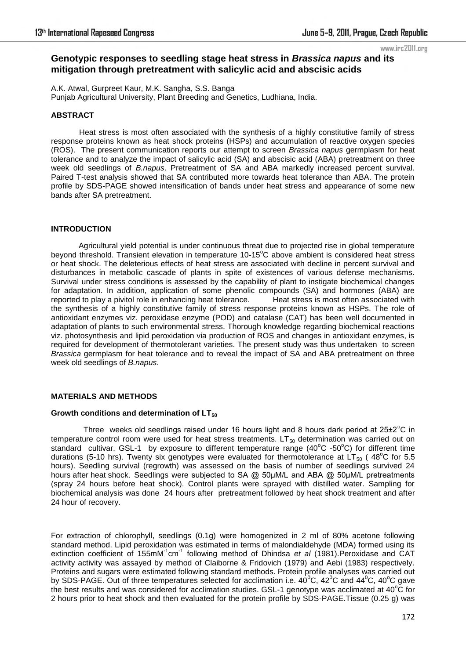www.irc2011.org

# **Genotypic responses to seedling stage heat stress in** *Brassica napus* **and its mitigation through pretreatment with salicylic acid and abscisic acids**

A.K. Atwal, Gurpreet Kaur, M.K. Sangha, S.S. Banga Punjab Agricultural University, Plant Breeding and Genetics, Ludhiana, India.

#### **ABSTRACT**

Heat stress is most often associated with the synthesis of a highly constitutive family of stress response proteins known as heat shock proteins (HSPs) and accumulation of reactive oxygen species (ROS). The present communication reports our attempt to screen *Brassica napus* germplasm for heat tolerance and to analyze the impact of salicylic acid (SA) and abscisic acid (ABA) pretreatment on three week old seedlings of *B.napus*. Pretreatment of SA and ABA markedly increased percent survival. Paired T-test analysis showed that SA contributed more towards heat tolerance than ABA. The protein profile by SDS-PAGE showed intensification of bands under heat stress and appearance of some new bands after SA pretreatment.

## **INTRODUCTION**

 Agricultural yield potential is under continuous threat due to projected rise in global temperature beyond threshold. Transient elevation in temperature 10-15<sup>o</sup>C above ambient is considered heat stress or heat shock. The deleterious effects of heat stress are associated with decline in percent survival and disturbances in metabolic cascade of plants in spite of existences of various defense mechanisms. Survival under stress conditions is assessed by the capability of plant to instigate biochemical changes for adaptation. In addition, application of some phenolic compounds (SA) and hormones (ABA) are reported to play a pivitol role in enhancing heat tolerance. Heat stress is most often associated with reported to play a pivitol role in enhancing heat tolerance. the synthesis of a highly constitutive family of stress response proteins known as HSPs. The role of antioxidant enzymes viz. peroxidase enzyme (POD) and catalase (CAT) has been well documented in adaptation of plants to such environmental stress. Thorough knowledge regarding biochemical reactions viz. photosynthesis and lipid peroxidation via production of ROS and changes in antioxidant enzymes, is required for development of thermotolerant varieties. The present study was thus undertaken to screen *Brassica* germplasm for heat tolerance and to reveal the impact of SA and ABA pretreatment on three week old seedlings of *B.napus*.

# **MATERIALS AND METHODS**

#### **Growth conditions and determination of LT<sup>50</sup>**

Three weeks old seedlings raised under 16 hours light and 8 hours dark period at  $25\pm2\degree C$  in temperature control room were used for heat stress treatments.  $LT_{50}$  determination was carried out on standard cultivar, GSL-1 by exposure to different temperature range (40°C -50°C) for different time durations (5-10 hrs). Twenty six genotypes were evaluated for thermotolerance at LT<sub>50</sub> (48°C for 5.5 hours). Seedling survival (regrowth) was assessed on the basis of number of seedlings survived 24 hours after heat shock. Seedlings were subjected to SA @ 50µM/L and ABA @ 50µM/L pretreatments (spray 24 hours before heat shock). Control plants were sprayed with distilled water. Sampling for biochemical analysis was done 24 hours after pretreatment followed by heat shock treatment and after 24 hour of recovery.

For extraction of chlorophyll, seedlings (0.1g) were homogenized in 2 ml of 80% acetone following standard method. Lipid peroxidation was estimated in terms of malondialdehyde (MDA) formed using its extinction coefficient of 155mM-1cm-1 following method of Dhindsa *et al* (1981).Peroxidase and CAT activity activity was assayed by method of Claiborne & Fridovich (1979) and Aebi (1983) respectively. Proteins and sugars were estimated following standard methods. Protein profile analyses was carried out by SDS-PAGE. Out of three temperatures selected for acclimation i.e.  $40^{\circ}$ C,  $42^{\circ}$ C and  $44^{\circ}$ C,  $40^{\circ}$ C gave the best results and was considered for acclimation studies. GSL-1 genotype was acclimated at  $40^{\circ}$ C for 2 hours prior to heat shock and then evaluated for the protein profile by SDS-PAGE.Tissue (0.25 g) was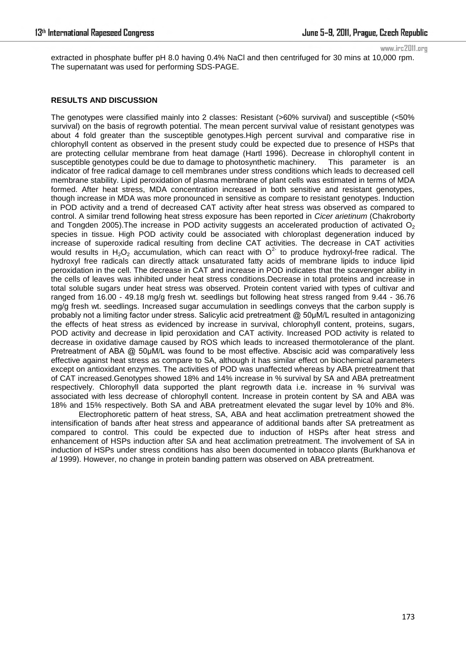www.irc2011.org

extracted in phosphate buffer pH 8.0 having 0.4% NaCl and then centrifuged for 30 mins at 10,000 rpm. The supernatant was used for performing SDS-PAGE.

# **RESULTS AND DISCUSSION**

The genotypes were classified mainly into 2 classes: Resistant (>60% survival) and susceptible (<50% survival) on the basis of regrowth potential. The mean percent survival value of resistant genotypes was about 4 fold greater than the susceptible genotypes.High percent survival and comparative rise in chlorophyll content as observed in the present study could be expected due to presence of HSPs that are protecting cellular membrane from heat damage (Hartl 1996). Decrease in chlorophyll content in susceptible genotypes could be due to damage to photosynthetic machinery. This parameter is an indicator of free radical damage to cell membranes under stress conditions which leads to decreased cell membrane stability. Lipid peroxidation of plasma membrane of plant cells was estimated in terms of MDA formed. After heat stress, MDA concentration increased in both sensitive and resistant genotypes, though increase in MDA was more pronounced in sensitive as compare to resistant genotypes. Induction in POD activity and a trend of decreased CAT activity after heat stress was observed as compared to control. A similar trend following heat stress exposure has been reported in *Cicer arietinum* (Chakroborty and Tongden 2005). The increase in POD activity suggests an accelerated production of activated  $O<sub>2</sub>$ species in tissue. High POD activity could be associated with chloroplast degeneration induced by increase of superoxide radical resulting from decline CAT activities. The decrease in CAT activities would results in  $H_2O_2$  accumulation, which can react with  $O^2$  to produce hydroxyl-free radical. The hydroxyl free radicals can directly attack unsaturated fatty acids of membrane lipids to induce lipid peroxidation in the cell. The decrease in CAT and increase in POD indicates that the scavenger ability in the cells of leaves was inhibited under heat stress conditions.Decrease in total proteins and increase in total soluble sugars under heat stress was observed. Protein content varied with types of cultivar and ranged from 16.00 - 49.18 mg/g fresh wt. seedlings but following heat stress ranged from 9.44 - 36.76 mg/g fresh wt. seedlings. Increased sugar accumulation in seedlings conveys that the carbon supply is probably not a limiting factor under stress. Salicylic acid pretreatment @ 50µM/L resulted in antagonizing the effects of heat stress as evidenced by increase in survival, chlorophyll content, proteins, sugars, POD activity and decrease in lipid peroxidation and CAT activity. Increased POD activity is related to decrease in oxidative damage caused by ROS which leads to increased thermotolerance of the plant. Pretreatment of ABA @ 50µM/L was found to be most effective. Abscisic acid was comparatively less effective against heat stress as compare to SA, although it has similar effect on biochemical parameters except on antioxidant enzymes. The activities of POD was unaffected whereas by ABA pretreatment that of CAT increased.Genotypes showed 18% and 14% increase in % survival by SA and ABA pretreatment respectively. Chlorophyll data supported the plant regrowth data i.e. increase in % survival was associated with less decrease of chlorophyll content. Increase in protein content by SA and ABA was 18% and 15% respectively. Both SA and ABA pretreatment elevated the sugar level by 10% and 8%.

Electrophoretic pattern of heat stress, SA, ABA and heat acclimation pretreatment showed the intensification of bands after heat stress and appearance of additional bands after SA pretreatment as compared to control. This could be expected due to induction of HSPs after heat stress and enhancement of HSPs induction after SA and heat acclimation pretreatment. The involvement of SA in induction of HSPs under stress conditions has also been documented in tobacco plants (Burkhanova *et al* 1999). However, no change in protein banding pattern was observed on ABA pretreatment.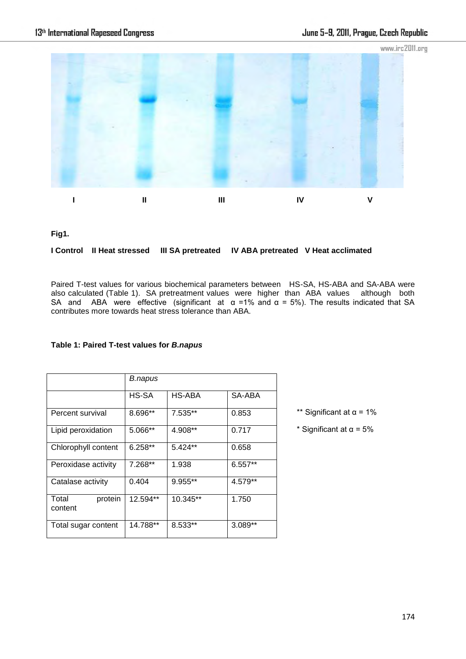

**Fig1.** 

# **I Control II Heat stressed III SA pretreated IV ABA pretreated V Heat acclimated**

Paired T-test values for various biochemical parameters between HS-SA, HS-ABA and SA-ABA were also calculated (Table 1). SA pretreatment values were higher than ABA values although both SA and ABA were effective (significant at  $\alpha$  =1% and  $\alpha$  = 5%). The results indicated that SA contributes more towards heat stress tolerance than ABA.

|                             | B.napus   |           |           |
|-----------------------------|-----------|-----------|-----------|
|                             | HS-SA     | HS-ABA    | SA-ABA    |
| Percent survival            | 8.696**   | 7.535**   | 0.853     |
| Lipid peroxidation          | 5.066**   | 4.908**   | 0.717     |
| Chlorophyll content         | $6.258**$ | 5.424**   | 0.658     |
| Peroxidase activity         | 7.268**   | 1.938     | $6.557**$ |
| Catalase activity           | 0.404     | $9.955**$ | 4.579**   |
| Total<br>protein<br>content | 12.594**  | 10.345**  | 1.750     |
| Total sugar content         | 14.788**  | 8.533**   | $3.089**$ |

# **Table 1: Paired T-test values for** *B.napus*

\*\* Significant at  $\alpha$  = 1%

\* Significant at  $\alpha$  = 5%